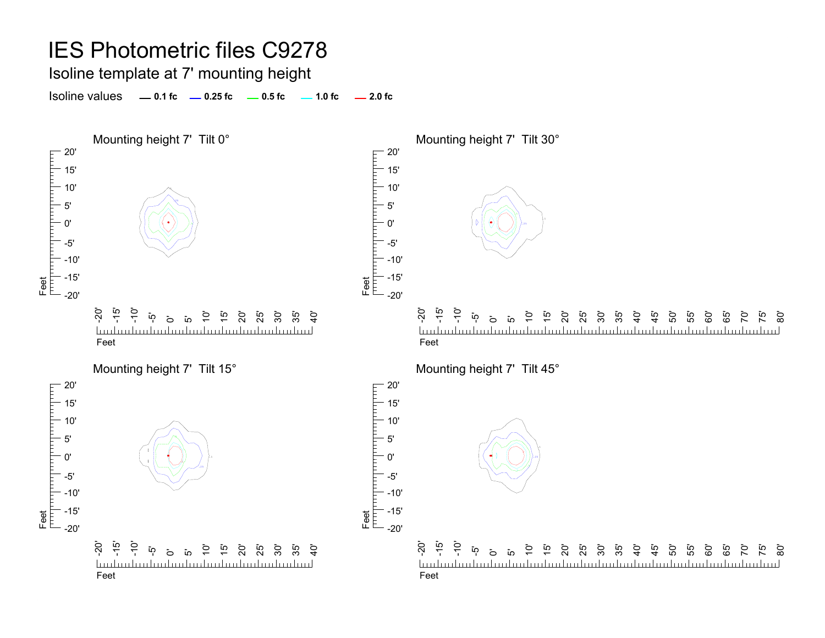Isoline template at 7' mounting height

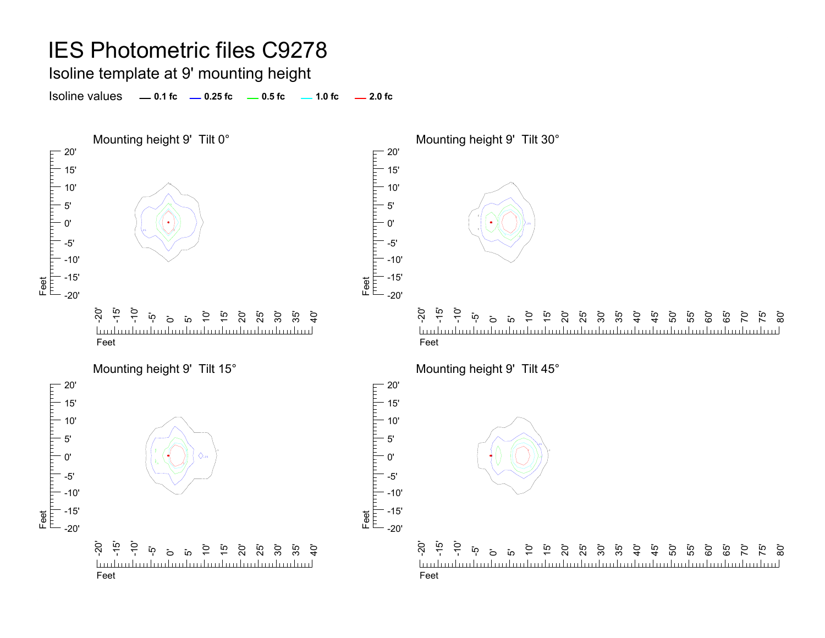Isoline template at 9' mounting height

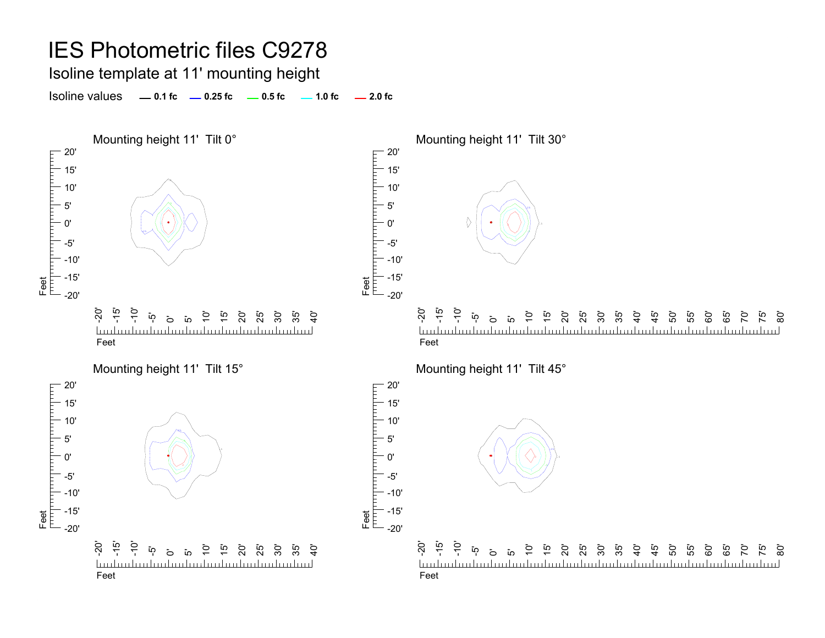Isoline template at 11' mounting height

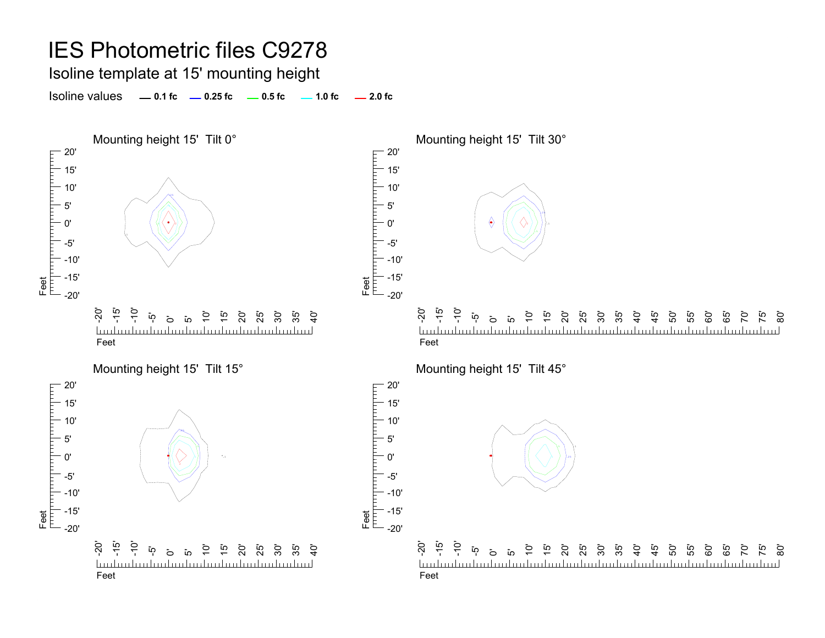Isoline template at 15' mounting height

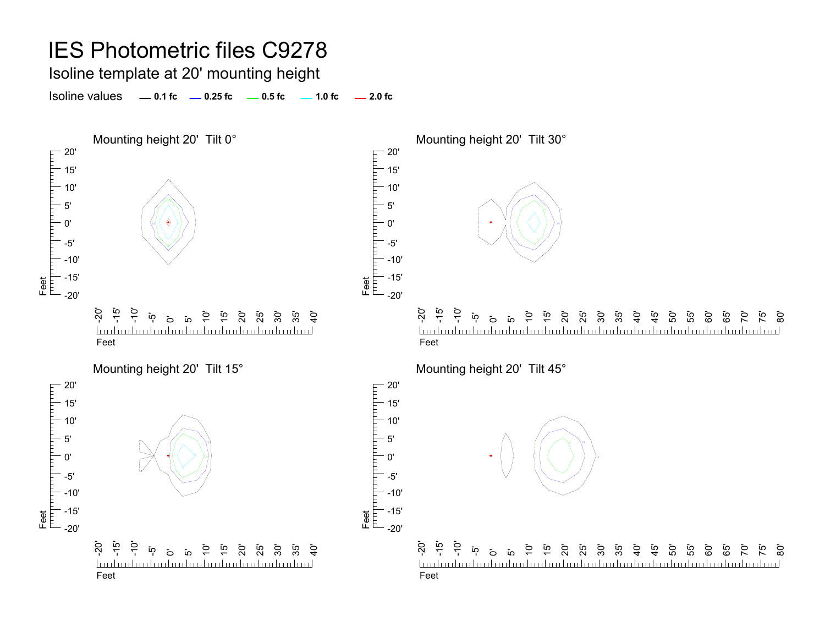Isoline template at 20' mounting height

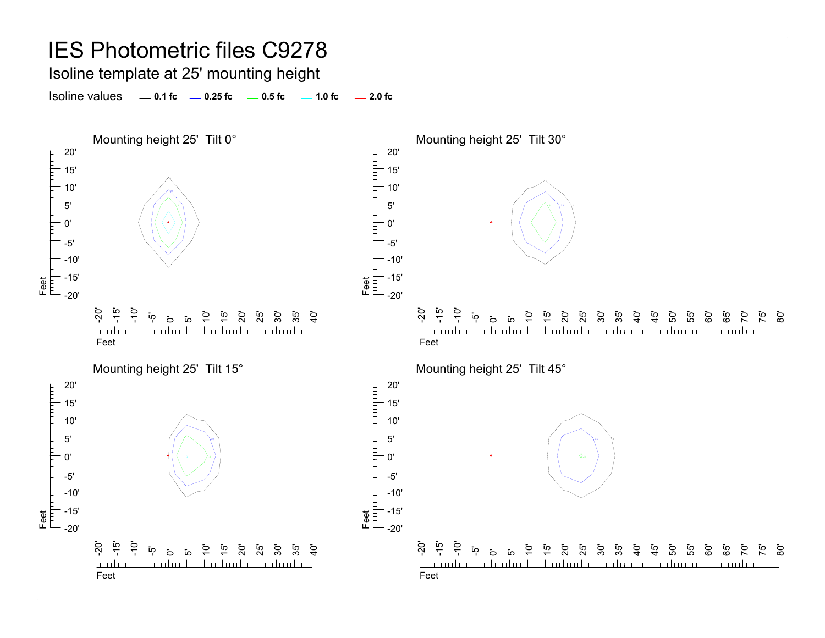Isoline template at 25' mounting height

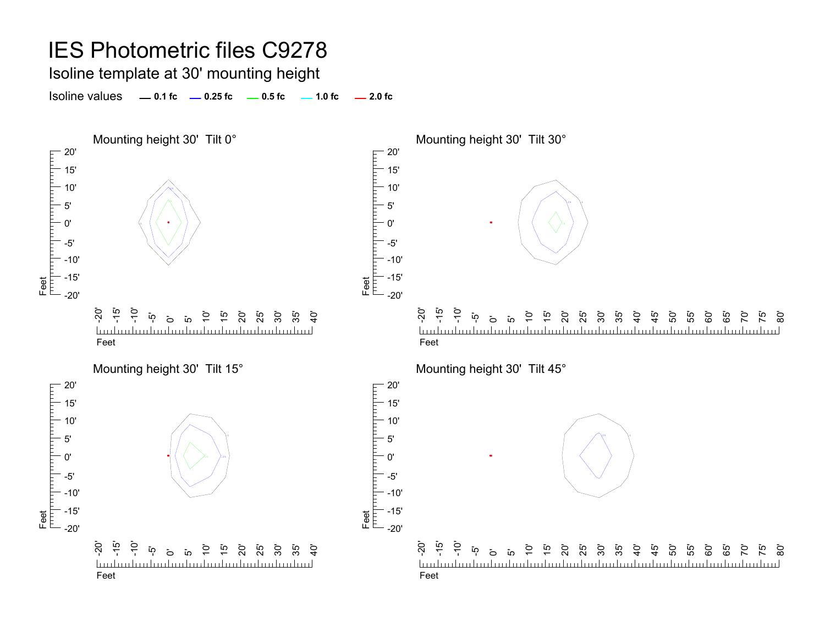Isoline template at 30' mounting height